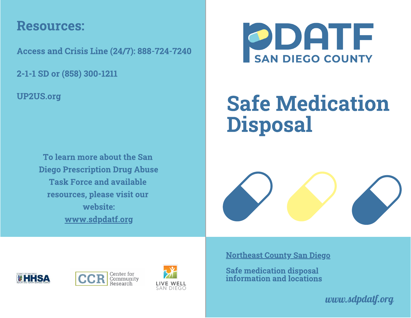### Resources:

Access and Crisis Line (24/7): 888-724-7240

2-1-1 SD or (858) 300-1211

UP2US.org

To learn more about the San Diego Prescription Drug Abuse **Task Force and available** resources, please visit our website: website: www.communication.com www.sdpdatf.org



## **Safe Medication**  $S_1$  ,  $S_2$  and  $S_3$  are  $S_4$  and  $S_5$  are  $S_6$  and  $S_7$  are  $S_7$  and  $S_8$  are  $S_7$  and  $S_8$  are  $S_7$  and  $S_8$  are  $S_7$  and  $S_8$  are  $S_7$  and  $S_8$  are  $S_7$  are  $S_7$  and  $S_8$  are  $S_7$  are  $S_7$  are  $S_$ Disposal







Northeast County San Diego

Safe medication disposal information and locations

*www.sdpdatf.org*